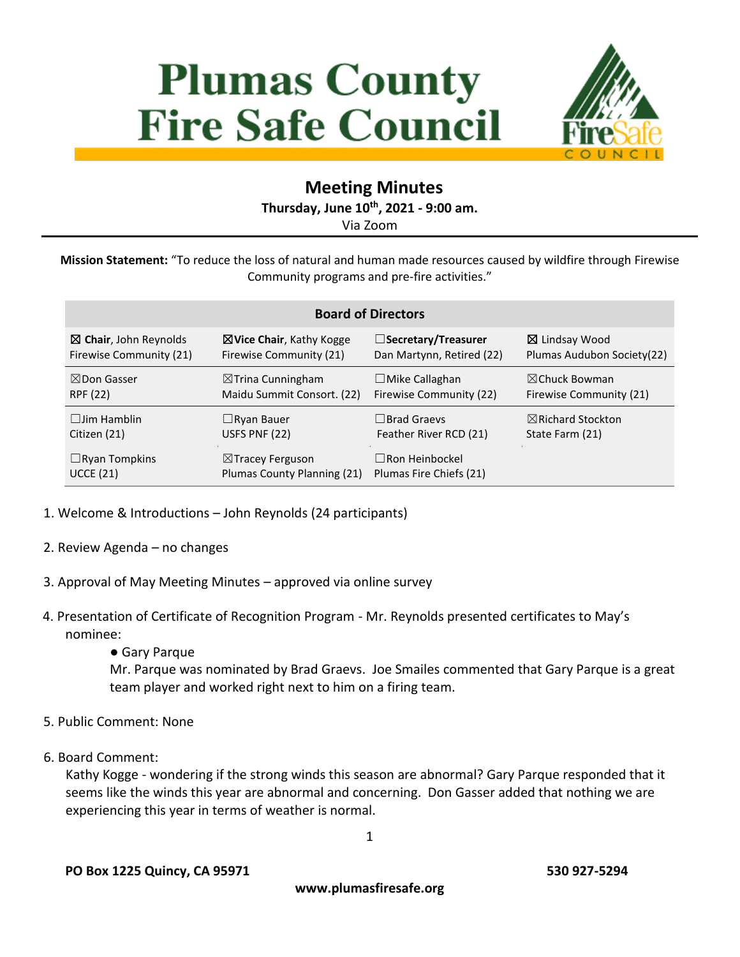# **Plumas County Fire Safe Council**



## **Meeting Minutes**

**Thursday, June 10 th, 2021 - 9:00 am.**

Via Zoom

**Mission Statement:** "To reduce the loss of natural and human made resources caused by wildfire through Firewise Community programs and pre-fire activities."

| <b>Board of Directors</b>        |                                     |                           |                              |
|----------------------------------|-------------------------------------|---------------------------|------------------------------|
| $\boxtimes$ Chair, John Reynolds | $\boxtimes$ Vice Chair, Kathy Kogge | □Secretary/Treasurer      | ⊠ Lindsay Wood               |
| Firewise Community (21)          | Firewise Community (21)             | Dan Martynn, Retired (22) | Plumas Audubon Society (22)  |
| $\boxtimes$ Don Gasser           | $\boxtimes$ Trina Cunningham        | $\Box$ Mike Callaghan     | $\boxtimes$ Chuck Bowman     |
| RPF (22)                         | Maidu Summit Consort. (22)          | Firewise Community (22)   | Firewise Community (21)      |
| $\Box$ lim Hamblin               | $\Box$ Ryan Bauer                   | $\Box$ Brad Graevs        | $\boxtimes$ Richard Stockton |
| Citizen (21)                     | USFS PNF (22)                       | Feather River RCD (21)    | State Farm (21)              |
| $\Box$ Ryan Tompkins             | $\boxtimes$ Tracey Ferguson         | $\Box$ Ron Heinbockel     |                              |
| <b>UCCE (21)</b>                 | Plumas County Planning (21)         | Plumas Fire Chiefs (21)   |                              |

- 1. Welcome & Introductions John Reynolds (24 participants)
- 2. Review Agenda no changes
- 3. Approval of May Meeting Minutes approved via online survey
- 4. Presentation of Certificate of Recognition Program Mr. Reynolds presented certificates to May's nominee:
	- Gary Parque

Mr. Parque was nominated by Brad Graevs. Joe Smailes commented that Gary Parque is a great team player and worked right next to him on a firing team.

- 5. Public Comment: None
- 6. Board Comment:

Kathy Kogge - wondering if the strong winds this season are abnormal? Gary Parque responded that it seems like the winds this year are abnormal and concerning. Don Gasser added that nothing we are experiencing this year in terms of weather is normal.

1

**www.plumasfiresafe.org**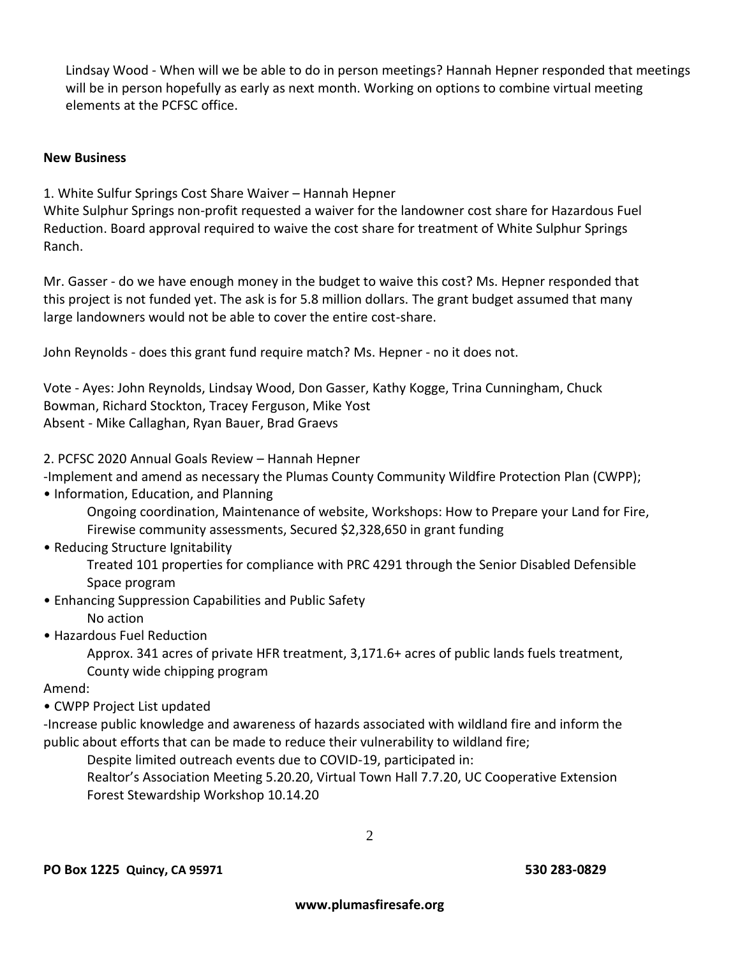Lindsay Wood - When will we be able to do in person meetings? Hannah Hepner responded that meetings will be in person hopefully as early as next month. Working on options to combine virtual meeting elements at the PCFSC office.

#### **New Business**

1. White Sulfur Springs Cost Share Waiver – Hannah Hepner

White Sulphur Springs non-profit requested a waiver for the landowner cost share for Hazardous Fuel Reduction. Board approval required to waive the cost share for treatment of White Sulphur Springs Ranch.

Mr. Gasser - do we have enough money in the budget to waive this cost? Ms. Hepner responded that this project is not funded yet. The ask is for 5.8 million dollars. The grant budget assumed that many large landowners would not be able to cover the entire cost-share.

John Reynolds - does this grant fund require match? Ms. Hepner - no it does not.

Vote - Ayes: John Reynolds, Lindsay Wood, Don Gasser, Kathy Kogge, Trina Cunningham, Chuck Bowman, Richard Stockton, Tracey Ferguson, Mike Yost Absent - Mike Callaghan, Ryan Bauer, Brad Graevs

2. PCFSC 2020 Annual Goals Review – Hannah Hepner

-Implement and amend as necessary the Plumas County Community Wildfire Protection Plan (CWPP);

• Information, Education, and Planning

Ongoing coordination, Maintenance of website, Workshops: How to Prepare your Land for Fire, Firewise community assessments, Secured \$2,328,650 in grant funding

• Reducing Structure Ignitability

Treated 101 properties for compliance with PRC 4291 through the Senior Disabled Defensible Space program

• Enhancing Suppression Capabilities and Public Safety

No action

• Hazardous Fuel Reduction

Approx. 341 acres of private HFR treatment, 3,171.6+ acres of public lands fuels treatment, County wide chipping program

Amend:

• CWPP Project List updated

-Increase public knowledge and awareness of hazards associated with wildland fire and inform the public about efforts that can be made to reduce their vulnerability to wildland fire;

Despite limited outreach events due to COVID-19, participated in:

Realtor's Association Meeting 5.20.20, Virtual Town Hall 7.7.20, UC Cooperative Extension Forest Stewardship Workshop 10.14.20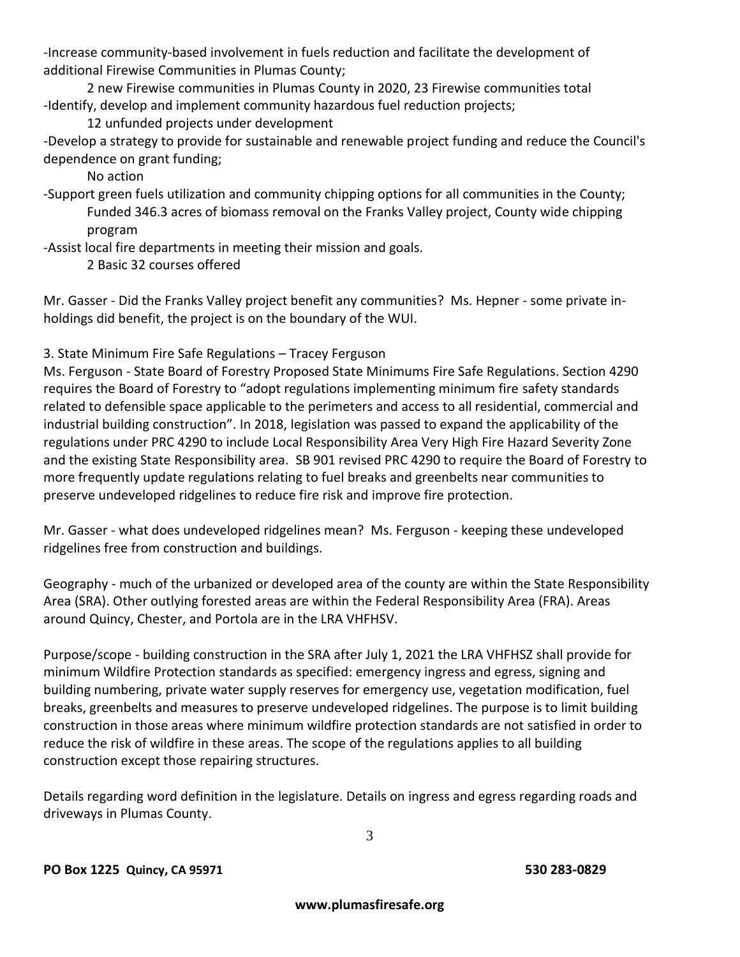-Increase community-based involvement in fuels reduction and facilitate the development of additional Firewise Communities in Plumas County;

2 new Firewise communities in Plumas County in 2020, 23 Firewise communities total -Identify, develop and implement community hazardous fuel reduction projects;

12 unfunded projects under development

-Develop a strategy to provide for sustainable and renewable project funding and reduce the Council's dependence on grant funding;

No action

-Support green fuels utilization and community chipping options for all communities in the County; Funded 346.3 acres of biomass removal on the Franks Valley project, County wide chipping program

-Assist local fire departments in meeting their mission and goals.

2 Basic 32 courses offered

Mr. Gasser - Did the Franks Valley project benefit any communities? Ms. Hepner - some private inholdings did benefit, the project is on the boundary of the WUI.

### 3. State Minimum Fire Safe Regulations – Tracey Ferguson

Ms. Ferguson - State Board of Forestry Proposed State Minimums Fire Safe Regulations. Section 4290 requires the Board of Forestry to "adopt regulations implementing minimum fire safety standards related to defensible space applicable to the perimeters and access to all residential, commercial and industrial building construction". In 2018, legislation was passed to expand the applicability of the regulations under PRC 4290 to include Local Responsibility Area Very High Fire Hazard Severity Zone and the existing State Responsibility area. SB 901 revised PRC 4290 to require the Board of Forestry to more frequently update regulations relating to fuel breaks and greenbelts near communities to preserve undeveloped ridgelines to reduce fire risk and improve fire protection.

Mr. Gasser - what does undeveloped ridgelines mean? Ms. Ferguson - keeping these undeveloped ridgelines free from construction and buildings.

Geography - much of the urbanized or developed area of the county are within the State Responsibility Area (SRA). Other outlying forested areas are within the Federal Responsibility Area (FRA). Areas around Quincy, Chester, and Portola are in the LRA VHFHSV.

Purpose/scope - building construction in the SRA after July 1, 2021 the LRA VHFHSZ shall provide for minimum Wildfire Protection standards as specified: emergency ingress and egress, signing and building numbering, private water supply reserves for emergency use, vegetation modification, fuel breaks, greenbelts and measures to preserve undeveloped ridgelines. The purpose is to limit building construction in those areas where minimum wildfire protection standards are not satisfied in order to reduce the risk of wildfire in these areas. The scope of the regulations applies to all building construction except those repairing structures.

Details regarding word definition in the legislature. Details on ingress and egress regarding roads and driveways in Plumas County.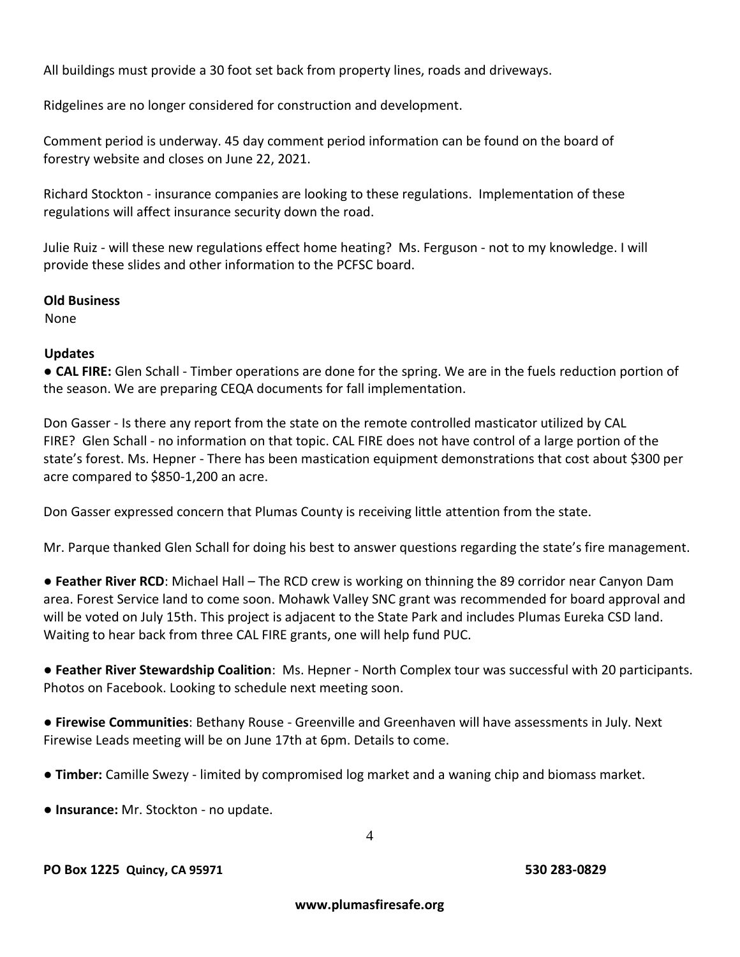All buildings must provide a 30 foot set back from property lines, roads and driveways.

Ridgelines are no longer considered for construction and development.

Comment period is underway. 45 day comment period information can be found on the board of forestry website and closes on June 22, 2021.

Richard Stockton - insurance companies are looking to these regulations. Implementation of these regulations will affect insurance security down the road.

Julie Ruiz - will these new regulations effect home heating? Ms. Ferguson - not to my knowledge. I will provide these slides and other information to the PCFSC board.

#### **Old Business**

None

#### **Updates**

● **CAL FIRE:** Glen Schall - Timber operations are done for the spring. We are in the fuels reduction portion of the season. We are preparing CEQA documents for fall implementation.

Don Gasser - Is there any report from the state on the remote controlled masticator utilized by CAL FIRE? Glen Schall - no information on that topic. CAL FIRE does not have control of a large portion of the state's forest. Ms. Hepner - There has been mastication equipment demonstrations that cost about \$300 per acre compared to \$850-1,200 an acre.

Don Gasser expressed concern that Plumas County is receiving little attention from the state.

Mr. Parque thanked Glen Schall for doing his best to answer questions regarding the state's fire management.

● **Feather River RCD**: Michael Hall – The RCD crew is working on thinning the 89 corridor near Canyon Dam area. Forest Service land to come soon. Mohawk Valley SNC grant was recommended for board approval and will be voted on July 15th. This project is adjacent to the State Park and includes Plumas Eureka CSD land. Waiting to hear back from three CAL FIRE grants, one will help fund PUC.

● **Feather River Stewardship Coalition**: Ms. Hepner - North Complex tour was successful with 20 participants. Photos on Facebook. Looking to schedule next meeting soon.

● **Firewise Communities**: Bethany Rouse - Greenville and Greenhaven will have assessments in July. Next Firewise Leads meeting will be on June 17th at 6pm. Details to come.

● **Timber:** Camille Swezy - limited by compromised log market and a waning chip and biomass market.

● **Insurance:** Mr. Stockton - no update.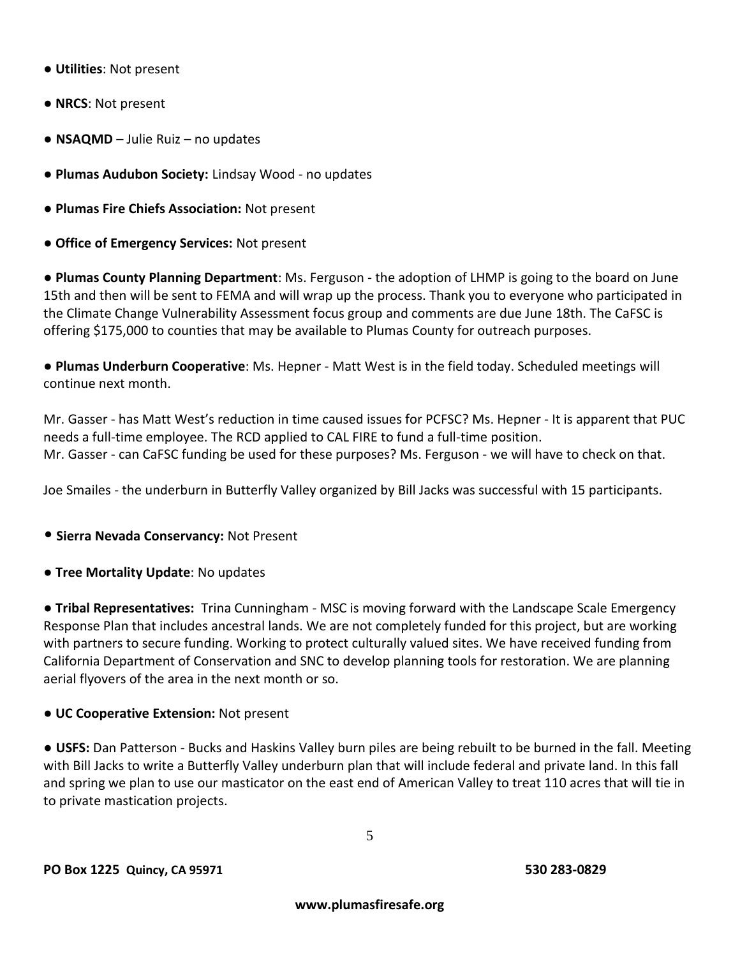- **Utilities**: Not present
- **NRCS**: Not present
- **NSAQMD** Julie Ruiz no updates
- **Plumas Audubon Society:** Lindsay Wood no updates
- **Plumas Fire Chiefs Association:** Not present
- **Office of Emergency Services:** Not present

● **Plumas County Planning Department**: Ms. Ferguson - the adoption of LHMP is going to the board on June 15th and then will be sent to FEMA and will wrap up the process. Thank you to everyone who participated in the Climate Change Vulnerability Assessment focus group and comments are due June 18th. The CaFSC is offering \$175,000 to counties that may be available to Plumas County for outreach purposes.

● **Plumas Underburn Cooperative**: Ms. Hepner - Matt West is in the field today. Scheduled meetings will continue next month.

Mr. Gasser - has Matt West's reduction in time caused issues for PCFSC? Ms. Hepner - It is apparent that PUC needs a full-time employee. The RCD applied to CAL FIRE to fund a full-time position. Mr. Gasser - can CaFSC funding be used for these purposes? Ms. Ferguson - we will have to check on that.

Joe Smailes - the underburn in Butterfly Valley organized by Bill Jacks was successful with 15 participants.

- **Sierra Nevada Conservancy:** Not Present
- **Tree Mortality Update**: No updates

● **Tribal Representatives:** Trina Cunningham - MSC is moving forward with the Landscape Scale Emergency Response Plan that includes ancestral lands. We are not completely funded for this project, but are working with partners to secure funding. Working to protect culturally valued sites. We have received funding from California Department of Conservation and SNC to develop planning tools for restoration. We are planning aerial flyovers of the area in the next month or so.

● **UC Cooperative Extension:** Not present

● **USFS:** Dan Patterson - Bucks and Haskins Valley burn piles are being rebuilt to be burned in the fall. Meeting with Bill Jacks to write a Butterfly Valley underburn plan that will include federal and private land. In this fall and spring we plan to use our masticator on the east end of American Valley to treat 110 acres that will tie in to private mastication projects.